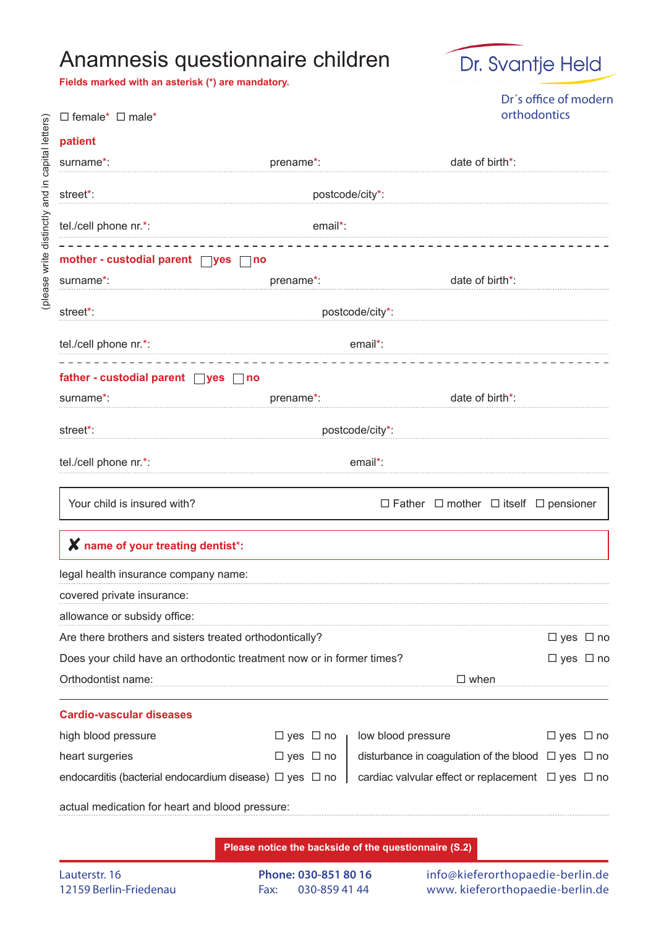## Anamnesis questionnaire children

**Fields marked with an asterisk (\*) are mandatory.**



Dr´s office of modern orthodontics

| $\Box$ female* $\Box$ male*                                           |             | orthodontics         |                    |                                                              |                      |  |  |
|-----------------------------------------------------------------------|-------------|----------------------|--------------------|--------------------------------------------------------------|----------------------|--|--|
| patient                                                               |             |                      |                    |                                                              |                      |  |  |
| surname*:                                                             | prename*:   |                      |                    | date of birth*:                                              |                      |  |  |
| street*:                                                              |             |                      | postcode/city*:    |                                                              |                      |  |  |
| tel./cell phone nr.*:                                                 |             | email*:              |                    |                                                              |                      |  |  |
| mother - custodial parent $\Box$ yes $\Box$ no                        |             |                      |                    |                                                              |                      |  |  |
| surname <sup>*</sup> :                                                | prename*:   |                      |                    | date of birth*:                                              |                      |  |  |
| street*:                                                              |             |                      | postcode/city*:    |                                                              |                      |  |  |
| tel./cell phone nr.*:                                                 | email*:     |                      |                    |                                                              |                      |  |  |
| father - custodial parent $\Box$ yes $\Box$ no                        |             |                      |                    |                                                              |                      |  |  |
| surname*:                                                             | prename*:   |                      |                    | date of birth*:                                              |                      |  |  |
| street*:                                                              |             |                      | postcode/city*:    |                                                              |                      |  |  |
| tel./cell phone nr.*:                                                 |             |                      | email*:            |                                                              |                      |  |  |
| Your child is insured with?                                           |             |                      |                    | $\Box$ Father $\Box$ mother $\Box$ itself $\Box$ pensioner   |                      |  |  |
| X name of your treating dentist*:                                     |             |                      |                    |                                                              |                      |  |  |
| legal health insurance company name:                                  |             |                      |                    |                                                              |                      |  |  |
| covered private insurance:                                            |             |                      |                    |                                                              |                      |  |  |
| allowance or subsidy office:                                          |             |                      |                    |                                                              |                      |  |  |
| Are there brothers and sisters treated orthodontically?               |             |                      |                    |                                                              | $\Box$ yes $\Box$ no |  |  |
| Does your child have an orthodontic treatment now or in former times? |             |                      |                    |                                                              | $\Box$ yes $\Box$ no |  |  |
| Orthodontist name:                                                    | $\Box$ when |                      |                    |                                                              |                      |  |  |
| <b>Cardio-vascular diseases</b>                                       |             |                      |                    |                                                              |                      |  |  |
| high blood pressure                                                   |             | $\Box$ yes $\Box$ no | low blood pressure |                                                              | $\Box$ yes $\Box$ no |  |  |
| heart surgeries                                                       |             | $\Box$ yes $\Box$ no |                    | disturbance in coagulation of the blood $\Box$ yes $\Box$ no |                      |  |  |
| endocarditis (bacterial endocardium disease) $\Box$ yes $\Box$ no     |             |                      |                    | cardiac valvular effect or replacement $\Box$ yes $\Box$ no  |                      |  |  |
| actual medication for heart and blood pressure:                       |             |                      |                    |                                                              |                      |  |  |

**Please notice the backside of the questionnaire (S.2)**

**Phone: 030-851 80 16** Fax: 030-859 41 44

info@kieferorthopaedie-berlin.de www. kieferorthopaedie-berlin.de